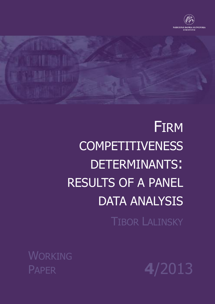

# **FIRM COMPETITIVENESS** DETERMINANTS: RESULTS OF A PANEL DATA ANALYSIS TIBOR LALINSKY

WORKING

PAPER **4**/2013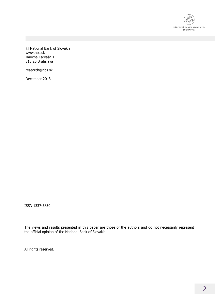

© National Bank of Slovakia www.nbs.sk Imricha Karvaša 1 813 25 Bratislava

research@nbs.sk

December 2013

ISSN 1337-5830

The views and results presented in this paper are those of the authors and do not necessarily represent the official opinion of the National Bank of Slovakia.

All rights reserved.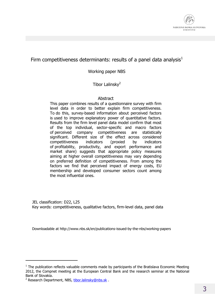

### Firm competitiveness determinants: results of a panel data analysis $<sup>1</sup>$ </sup>

Working paper NBS

### Tibor Lalinsky<sup>2</sup>

#### **Abstract**

This paper combines results of a questionnaire survey with firm level data in order to better explain firm competitiveness. To do this, survey-based information about perceived factors is used to improve explanatory power of quantitative factors. Results from the firm level panel data model confirm that most of the top individual, sector-specific and macro factors of perceived company competitiveness are statistically significant. Different size of the effect across considered competitiveness indicators (proxied by indicators of profitability, productivity, and export performance and market share) suggests that appropriate policy measures aiming at higher overall competitiveness may vary depending on preferred definition of competitiveness. From among the factors we find that perceived impact of energy costs, EU membership and developed consumer sectors count among the most influential ones.

JEL classification: D22, L25 Key words: competitiveness, qualitative factors, firm-level data, panel data

Downloadable at http://www.nbs.sk/en/publications-issued-by-the-nbs/working-papers

 $\overline{a}$ 

 $<sup>1</sup>$  The publication reflects valuable comments made by participants of the Bratislava Economic Meeting</sup> 2012, the Compnet meeting at the European Central Bank and the research seminar at the National Bank of Slovakia.

<sup>&</sup>lt;sup>2</sup> Research Department, NBS, [tibor.lalinsky@nbs.sk](mailto:tibor.lalinsky@nbs.sk)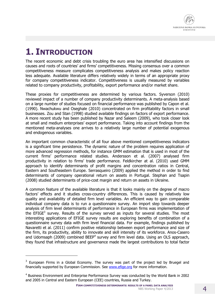# **1. INTRODUCTION**

 $\overline{a}$ 

The recent economic and debt crisis troubling the euro area has intensified discussions on causes and roots of countries' and firms' competitiveness. Missing consensus over a common competitiveness measure complicates competitiveness analysis and makes policy reaction less adequate. Available literature differs relatively widely in terms of an appropriate proxy for company competitiveness indicator. Competitiveness is usually measured by variables related to company productivity, profitability, export performance and/or market share.

These proxies for competitiveness are determined by various factors. Syverson (2010) reviewed impact of a number of company productivity determinants. A meta-analysis based on a large number of studies focused on financial performance was published by Capon et al. (1990). Nwachukwu and Oseghale (2010) concentrated on firm profitability factors in small businesses. Zou and Stan (1998) studied available findings on factors of export performance. A more recent study has been published by Nazar and Saleem (2009), who took closer look at small and medium enterprises' export performance. Taking into account findings from the mentioned meta-analyses one arrives to a relatively large number of potential exogenous and endogenous variables.

An important common characteristic of all four above mentioned competitiveness indicators is a significant time persistence. The dynamic nature of the problem requires application of more advanced regression methods, for instance GMM estimation that is used in most of the current firms' performance related studies. Andersson et al. (2007) analysed firm productivity in relation to firms' trade performance. Feldkircher at al. (2010) used GMM approach to identify determinants of profit margins and concentration ratios in Central, Eastern and Southeastern Europe. Serrasqueiro (2009) applied the method in order to find determinants of company operational return on assets in Portugal. Stephan and Tsapin (2008) studied determinants of price-cost margin and return on assets in Ukraine.

A common feature of the available literature is that it looks mainly on the degree of macro factors' effects and it studies cross-country differences. This is caused by relatively low quality and availability of detailed firm level variables. An efficient way to gain comparable individual company data is to run a questionnaire survey. An import step towards deeper analysis of firm level determinants of performance in European firms was implementation of the EFIGE<sup>3</sup> survey. Results of the survey served as inputs for several studies. The most interesting applications of EFIGE survey results are exploring benefits of combination of a questionnaire survey data with firm level financial data. For example, findings published by Navaretti et al. (2011) confirm positive relationship between export performance and size of the firm, its productivity, ability to innovate and skill intensity of its workforce. Anos-Casero and Udomsaph (2009) combined  $B E E P<sup>4</sup>$  survey and firm level data. Using an OLS approach, they found that infrastructure and governance made the largest contributions to total factor

 $3$  European Firms in a Global Economy. The survey was part of the project led by Bruegel and financially supported by European Commission. See [www.efige.org](http://www.efige.org/) for more information.

<sup>&</sup>lt;sup>4</sup> Business Environment and Enterprise Performance Survey was conducted by the World Bank in 2002 and 2005 in Central and Eastern European (CEE) countries, Russia and Turkey.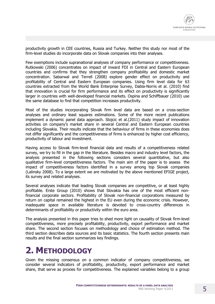productivity growth in CEE countries, Russia and Turkey. Neither this study nor most of the firm-level studies do incorporate data on Slovak companies into their analyses.

Few exemptions include supranational analyses of company performance or competitiveness. Rutkowski (2006) concentrates on impact of inward FDI in Central and Eastern European countries and confirms that they strengthen company profitability and domestic market concentration. Sabarwal and Terrell (2008) explore gender effect on productivity and profitability of Central and Eastern European companies. Using firm level data for 63 countries extracted from the World Bank Enterprise Survey, Dabla-Norris et al. (2010) find that innovation is crucial for firm performance and its effect on productivity is significantly larger in countries with well-developed financial markets. Ospina and Schiffbauer (2010) use the same database to find that competition increases productivity.

Most of the studies incorporating Slovak firm level data are based on a cross-section analyses and ordinary least squares estimations. Some of the more recent publications implement a dynamic panel data approach. Stojcic et al.(2011) study impact of innovation activities on company's market share in several Central and Eastern European countries including Slovakia. Their results indicate that the behaviour of firms in these economies does not differ significantly and the competitiveness of firms is enhanced by higher cost efficiency, productivity of labour and investment.

Having access to Slovak firm-level financial data and results of a competitiveness related survey, we try to fill in the gap in the literature. Besides macro and industry level factors, the analysis presented in the following sections considers several quantitative, but also qualitative firm-level competitiveness factors. The main aim of the paper is to assess the impact of competitiveness factors identified in a survey among top Slovak companies (Lalinsky 2008). To a large extent we are motivated by the above mentioned EFIGE project, its survey and related analyses.

Several analyses indicate that leading Slovak companies are competitive, or at least highly profitable. Erste Group (2010) shows that Slovakia has one of the most efficient nonfinancial corporate sectors. Profitability of Slovak non-financial corporations measured by return on capital remained the highest in the EU even during the economic crisis. However, inadequate space in available literature is devoted to cross-country differences in determinants of profitability or productivity within the euro area.

The analysis presented in this paper tries to shed more light on causality of Slovak firm-level competitiveness, more precisely profitability, productivity, export performance and market share. The second section focuses on methodology and choice of estimation method. The third section describes data sources and its basic statistics. The fourth section presents main results and the final section summarizes key findings.

# **2. METHODOLOGY**

Given the missing consensus on a common indicator of company competitiveness, we consider several indicators of profitability, productivity, export performance and market share, that serve as proxies for competitiveness. The explained variables belong to a group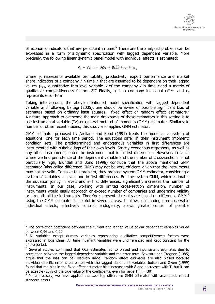of economic indicators that are persistent in time.<sup>5</sup> Therefore the analysed problem can be expressed in a form of a dynamic specification with lagged dependent variable. More precisely, the following linear dynamic panel model with individual effects is estimated:

$$
y_{it} = \gamma y_{i,t-1} + \beta_1 x_{it} + \beta_2 Z'_1 + \alpha_i + \epsilon_{it},
$$

where  $y_{it}$  represents available profitability, productivity, export performance and market share indicators of a company  $i$  in time  $t$ , that are assumed to be dependent on their lagged values  $y_{i+1}$ , quantitative frim-level variable x of the company i in time t and a matrix of qualitative competitiveness factors  $Z_i^{\prime 6}$  Finally,  $\mathfrak{a}_i$  is a company individual effect and  $\epsilon_{it}$ represents error term.

Taking into account the above mentioned model specification with lagged dependent variable and following Baltagi (2005), one should be aware of possible significant bias of estimates based on ordinary least squares, fixed effect or random effect estimators.<sup>7</sup> A natural approach to overcome the main drawbacks of these estimators in this setting is to use instrumental variable (IV) or general method of moments (GMM) estimator. Similarly to number of other recent studies, this study also applies GMM estimator.

GMM estimator proposed by Arellano and Bond (1991) treats the model as a system of equations, one for each time period. The equations differ in their instrument (moment) condition sets. The predetermined and endogenous variables in first differences are instrumented with suitable lags of their own levels. Strictly exogenous regressors, as well as any other instruments, enter the instrument matrix in first differences. However, in cases where we find persistence of the dependent variable and the number of cross-sections is not particularly high, Blundell and Bond (1998) conclude that the above mentioned GMM estimator (also called difference GMM) may not be very efficient, given that the instruments may not be valid. To solve this problem, they propose system GMM estimator, considering a system of variables at levels and in first differences. But the system GMM, which estimates the equation jointly in levels and in first differences, significantly increases the number of instruments. In our case, working with limited cross-section dimension, number of instruments would easily approach or exceed number of companies and undermine validity or strength all the instruments. Therefore, presented results are based on difference GMM.<sup>8</sup> Using the GMM estimator is helpful in several areas. It allows eliminating non-observable individual effects, effectively controls endogenity, allows greater control of possible

j

 $5$  The correlation coefficient between the current and lagged value of our dependent variables varied between 0,96 and 0,99.

<sup>&</sup>lt;sup>6</sup> All variables except dummy variables representing qualitative competitiveness factors were expressed in logarithms. All time invariant variables were undifferenced and kept constant for the entire period.

<sup>7</sup> Several studies confirmed that OLS estimates led to biased and inconsistent estimates due to correlation between the lagged dependent variable and the error term. Sevestre and Trognon (1985) argue that the bias can be relatively large. Random effect estimates are also biased because individual-specific error is correlated with the lagged dependent variable. Judson and Owen (1999) found that the bias in the fixed effect estimator bias increases with δ and decreases with T, but it can be sizeable (20% of the true value of the coefficient), even for large T (T = 30).

<sup>&</sup>lt;sup>8</sup> More precisely, we have applied the two-step difference GMM estimator with asymptotic robust standard errors.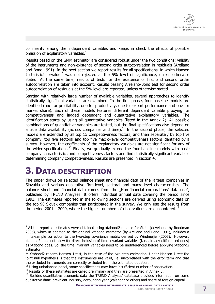

collinearity among the independent variables and keeps in check the effects of possible omission of explanatory variables.<sup>9</sup>

Results based on the GMM estimator are considered robust under the two conditions: validity of the instruments and non-existence of second order autocorrelation in residuals (Arellano and Bond 1991). In the next section we report results for all specifications, in which Hansen J statistic's p-value<sup>10</sup> was not rejected at the 5% level of significance, unless otherwise stated. At the same time, results of tests for the existence of first and second order autocorrelation are taken into account. Results passing Arrelano-Bond test for second order autocorrelation of residuals at the 5% level are reported, unless otherwise stated.

Starting with relatively large number of available variables, several approaches to identify statistically significant variables are examined. In the first phase, four baseline models are identified (one for profitability, one for productivity, one for export performance and one for market share). Each of these models features different dependent variable proxying for competitiveness and lagged dependent and quantitative explanatory variables. The identification starts by using all quantitative variables (listed in the Annex 2). All possible combinations of quantitative variables are tested, but the final specifications also depend on a true data availability (across companies and time).<sup>11</sup> In the second phase, the selected models are extended by all top 15 competitiveness factors, and then separately by top five company, top five sectoral and top five macro-level competitiveness factors identified by a survey. However, the coefficients of the explanatory variables are not significant for any of the wider specifications.<sup>12</sup> Finally, we gradually extend the four baseline models with basic company characteristics and competitiveness factors and find statistically significant variables determining company competitiveness. Results are presented in section 4.

### **3. DATA DESCTRIPTION**

-

The paper draws on selected balance sheet and financial data of the largest companies in Slovakia and various qualitative firm-level, sectoral and macro-level characteristics. The balance sheet and financial data comes from the "Non-financial corporations' database", published by TREND Analyses. It offers individual annual data covering the period since 1993. The estimates reported in the following sections are derived using economic data on the top 90 Slovak companies that participated in the survey. We only use the results from the period 2001 – 2009, where the highest numbers of observations are encountered.<sup>13</sup>

<sup>&</sup>lt;sup>9</sup> All the reported estimates were obtained using xtabond2 module for Stata (developed by Roodman 2006), which in addition to the original xtabond estimator (by Arellano and Bond 1991), includes a finite-sample correction to the two-step covariance matrix derived by Windmeijer (2005). However, xtabond2 does not allow for direct inclusion of time invariant variables (i. e. already differenced ones) as xtabond does. So, the time invariant variables need to be undifferenced before applying xtabond2 estimator.

<sup>&</sup>lt;sup>10</sup> Xtabond2 reports Hansen J test, in the case of the two-step estimation. Under Hansen J test the joint null hypothesis is that the instruments are valid, i.e. uncorrelated with the error term and that the excluded instruments are correctly excluded from the estimated equation.

 $11$  Using unbalanced panel, some specifications may have insufficient number of observation.

 $12$  Results of these estimates are called preliminary and they are presented in Annex 3.

<sup>&</sup>lt;sup>13</sup> Besides quantitative economic data the TREND Analyses' database provides information on some qualitative data: prevalent industry, accounting year (calendar or other) and share of foreign capital.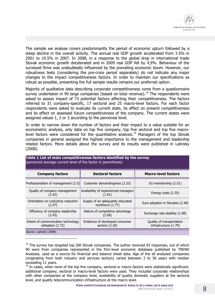

The sample we analyse covers predominantly the period of economic upturn followed by a steep decline in the overall activity. The annual real GDP growth accelerated from 3.5% in 2001 to 10.5% in 2007. In 2008, in a response to the global drop in international trade Slovak economic growth decelerated and in 2009 real GDP fell by 4,9%. Behaviour of the surveyed firms was undoubtedly influenced by the prevailing economic boom. However, our robustness tests (considering the pre-crisis period separately) do not indicate any major changes to the impact competitiveness factors. In order to maintain our specifications as robust as possible, presenting the full sample results remains our preferred option.

Majority of qualitative data describing corporate competitiveness come from a questionnaire survey undertaken in 90 large companies (based on total revenue).<sup>14</sup> The respondents were asked to assess impact of 73 potential factors affecting their competitiveness. The factors referred to 31 company-specific, 17 sectoral and 25 macro-level factors. For each factor respondents were asked to evaluate its current state, its effect on present competitiveness and its effect on assessed future competitiveness of the company. The current states were assigned values 1, 2 or 3 according to the perceived level.

In order to narrow down the number of factors and their impact to a value suitable for an econometric analysis, only data on top five company, top five sectoral and top five macrolevel factors were considered for the quantitative analysis.<sup>15</sup> Managers of the top Slovak companies in general assigned the highest importance to the management and leadership related factors. More details about the survey and its results were published in Lalinsky (2008).

| <b>Company factors</b>                                   | <b>Sectoral factors</b>                              | <b>Macro-level factors</b>                         |  |  |  |  |
|----------------------------------------------------------|------------------------------------------------------|----------------------------------------------------|--|--|--|--|
| Professionalism of management (2.5)                      | Customer demandingness (2.53)                        | EU membership (2.51)                               |  |  |  |  |
| Quality of company management<br>(2.42)                  | Availability of experienced managers<br>(1.81)       | Energy costs (2.35)                                |  |  |  |  |
| Orientation on cost/price reduction<br>(2.47)            | Supply of an adequately educated<br>workforce (1.77) | Euro adoption in Slovakia (2.48)                   |  |  |  |  |
| Efficiency of company leadership<br>(2.43)               | Nature of competitive advantage<br>(2.06)            | Exchange rate stability (1.98)                     |  |  |  |  |
| Extent of communication technology<br>utilisation (2.72) | Existence of developed consumer<br>sectors $(2.20)$  | Quality of transportation<br>infrastructure (1.79) |  |  |  |  |
| Source: Lalinský (2008).                                 |                                                      |                                                    |  |  |  |  |

#### **Table 1 List of main competitiveness factors identified by the survey**  (perceived average current level of the factor in parenthesis)

 $\overline{a}$ 

 $14$  The survey has targeted top 200 Slovak companies. The author received 93 responses, out of which 90 were from companies represented in the firm-level economic database published by TREND Analyses, used as a source for financial and balance sheet data. Age of the all analysed companies (originating from both industry and services sectors) varied between 2 to 50 years with median exceeding 11 years.

 $15$  In cases, when none of the top five company, sectoral or macro factors were statistically significant, additional company, sectoral or macro-level factors were used. They included corporate relationships with other companies at the company level, availability of quality domestic suppliers at the sectoral level, and quality telecommunication infrastructure at the macro level.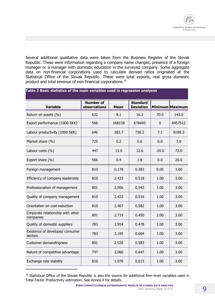Several additional qualitative data were taken from the Business Register of the Slovak Republic. These were information regarding a company name changes, presence of a foreign manager or a manager with domestic education in the surveyed company. Some aggregate data on non-financial corporations used to calculate derived ratios originated at the Statistical Office of the Slovak Republic. These were total exports, real gross domestic product and total revenue of non-financial corporations. 16

| Table 2 Basic statistics of the main variables used in regression analyses |                                  |             |                                     |              |                 |  |
|----------------------------------------------------------------------------|----------------------------------|-------------|-------------------------------------|--------------|-----------------|--|
| <b>Variable</b>                                                            | <b>Number of</b><br>observations | <b>Mean</b> | <b>Standard</b><br><b>Deviation</b> |              | Minimum Maximum |  |
| Return on assets (%)                                                       | 622                              | 8.1         | 16.2                                | 70.0         | 143.0           |  |
| Export performance (1000 SKK)                                              | 566                              | 168138      | 676695                              | $\mathbf{0}$ | 6457512         |  |
| Labour productivity (1000 SKK)                                             | 646                              | 383.7       | 738.2                               | 7.1          | 8198.3          |  |
| Market share (%)                                                           | 725                              | 0.2         | 0.6                                 | 0.0          | 7.0             |  |
| Labour costs (%)                                                           | 447                              | 13.0        | 12.6                                | $-20.0$      | 72.0            |  |
| Export share (%)                                                           | 566                              | 0.4         | 1.8                                 | 0.0          | 20.0            |  |
| Foreign management                                                         | 810                              | 0.178       | 0.383                               | 0.00         | 1.00            |  |
| Efficiency of company leadership                                           | 810                              | 2.433       | 0.518                               | 1.00         | 3.00            |  |
| Professionalism of management                                              | 801                              | 2.506       | 0.543                               | 1.00         | 3.00            |  |
| Quality of company management                                              | 810                              | 2.422       | 0.516                               | 1.00         | 3.00            |  |
| Orientation on cost reduction                                              | 810                              | 2.467       | 0.582                               | 1.00         | 3.00            |  |
| Corporate relationship with other<br>companies                             | 801                              | 2.719       | 0.450                               | 2.00         | 3.00            |  |
| Quality of domestic suppliers                                              | 783                              | 1.954       | 0.478                               | 1.00         | 3.00            |  |
| Existence of developed consumer<br>sectors                                 | 783                              | 2.195       | 0.604                               | 1.00         | 3.00            |  |
| Customer demandingness                                                     | 801                              | 2.528       | 0.583                               | 1.00         | 3.00            |  |
| Nature of competitive advantage                                            | 747                              | 2.060       | 0.647                               | 1.00         | 3.00            |  |
| Exchange rate stability                                                    | 810                              | 1.978       | 0.615                               | 1.00         | 3.00            |  |

<sup>&</sup>lt;sup>16</sup> Statistical Office of the Slovak Republic is also the source for additional firm-level variables used in Total Factor Productivity estimation. See Annex 4 for details.

j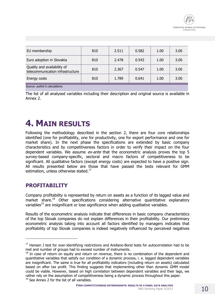

| EU membership                                                   | 810 | 2.511 | 0.582 | 1.00 | 3.00 |  |  |  |
|-----------------------------------------------------------------|-----|-------|-------|------|------|--|--|--|
| Euro adoption in Slovakia                                       | 810 | 2.478 | 0.543 | 1.00 | 3.00 |  |  |  |
| Quality and availability of<br>telecommunication infrastructure | 810 | 2.367 | 0.547 | 1.00 | 3.00 |  |  |  |
| Energy costs                                                    | 810 | 1.789 | 0.641 | 1.00 | 3.00 |  |  |  |
| Source: author's calculations.                                  |     |       |       |      |      |  |  |  |

The list of all analysed variables including their description and original source is available in Annex 2.

# **4. MAIN RESULTS**

Following the methodology described in the section 2, there are four core relationships identified (one for profitability, one for productivity, one for export performance and one for market share). In the next phase the specifications are extended by basic company characteristics and by competitiveness factors in order to verify their impact on the four dependent variables. We assume *ex-ante* that the econometric analysis proves the top 5 survey-based company-specific, sectoral and macro factors of competitiveness to be significant. All qualitative factors (except energy costs) are expected to have a positive sign. All results presented below are those that have passed the tests relevant for GMM estimation, unless otherwise stated.<sup>17</sup>

### **PROFITABILITY**

 $\overline{a}$ 

Company profitability is represented by return on assets as a function of its lagged value and market share.<sup>18</sup> Other specifications considering alternative quantitative explanatory variables<sup>19</sup> are insignificant or lose significance when adding qualitative variables.

Results of the econometric analysis indicate that differences in basic company characteristics of the top Slovak companies do not explain differences in their profitability. Our preliminary econometric analysis taking into account all factors identified by managers indicates that profitability of top Slovak companies is indeed negatively influenced by perceived negatives

<sup>&</sup>lt;sup>17</sup> Hansen J test for over-identifying restrictions and Arellano-Bond tests for autocorrelation had to be met and number of groups had to exceed number of instruments.

 $18$  In case of return on equity and return on revenue, there is no combination of the dependent and quantitative variables that satisfy our condition of a dynamic process, i. e. lagged dependent variables are insignificant. The same is true for all profitability indicators (including return on assets) calculated based on after tax profit. This finding suggests that implementing other than dynamic GMM model could be viable. However, based on high correlation between dependent variables and their lags, we rather rely on the assumption of competitiveness being a dynamic process throughout this paper.  $19$  See Annex 2 for the list of all variables.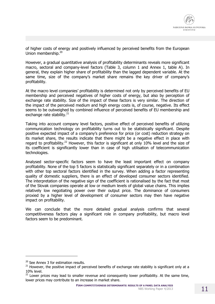of higher costs of energy and positively influenced by perceived benefits from the European Union membership.<sup>20</sup>

However, a gradual quantitative analysis of profitability determinants reveals more significant macro, sectoral and company-level factors (Table 3, column 1 and Annex 1, table A). In general, they explain higher share of profitability than the lagged dependent variable. At the same time, size of the company's market share remains the key driver of company's profitability.

At the macro level companies' profitability is determined not only by perceived benefits of EU membership and perceived negatives of higher costs of energy, but also by perception of exchange rate stability. Size of the impact of these factors is very similar. The direction of the impact of the perceived medium and high energy costs is, of course, negative. Its effect seems to be outweighed by combined influence of perceived benefits of EU membership and exchange rate stability. $^{21}$ 

Taking into account company level factors, positive effect of perceived benefits of utilizing communication technology on profitability turns out to be statistically significant. Despite positive expected impact of a company's preference for price (or cost) reduction strategy on its market share, the results indicate that there might be a negative effect in place with regard to profitability.<sup>22</sup> However, this factor is significant at only 10% level and the size of its coefficient is significantly lower than in case of high utilisation of telecommunication technologies.

Analysed sector-specific factors seem to have the least important effect on company profitability. None of the top 5 factors is statistically significant separately or in a combination with other top sectoral factors identified in the survey. When adding a factor representing quality of domestic suppliers, there is an effect of developed consumer sectors identified. The interpretation of the negative sign of the coefficient is rationalised by the fact that most of the Slovak companies operate at low or medium levels of global value chains. This implies relatively low negotiating power over their output price. The dominance of consumers proxied by a higher level of development of consumer sectors may then have negative impact on profitability.

We can conclude that the more detailed gradual analysis confirms that several competitiveness factors play a significant role in company profitability, but macro level factors seem to be predominant.

j

**FIRM COMPETITIVENESS DETERMINANTS: RESULTS OF A PANEL DATA ANALYSIS**

<sup>&</sup>lt;sup>20</sup> See Annex 3 for estimation results.

 $21$  However, the positive impact of perceived benefits of exchange rate stability is significant only at a 10% level.

 $22$  Lower prices may lead to smaller revenue and consequently lower profitability. At the same time, lower prices may contribute to an increase in market share.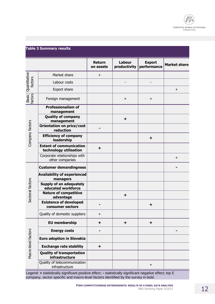

|                               | <b>Table 3 Summary results</b>                           |                            |                               |                              |                     |
|-------------------------------|----------------------------------------------------------|----------------------------|-------------------------------|------------------------------|---------------------|
|                               |                                                          | <b>Return</b><br>on assets | <b>Labour</b><br>productivity | <b>Export</b><br>performance | <b>Market share</b> |
|                               | Market share                                             | $\ddot{}$                  |                               |                              |                     |
| factors                       | Labour costs                                             |                            |                               |                              |                     |
|                               | Export share                                             |                            |                               |                              | $\ddot{}$           |
| Basic Quantitative<br>factors | Foreign management                                       |                            | $\ddot{}$                     | $\pm$                        |                     |
|                               | <b>Professionalism of</b><br>management                  |                            |                               |                              |                     |
|                               | <b>Quality of company</b><br>management                  |                            | $\ddot{}$                     |                              |                     |
|                               | <b>Orientation on price/cost</b><br>reduction            |                            |                               |                              |                     |
| Company factors               | <b>Efficiency of company</b><br>leadership               |                            |                               | $\pm$                        |                     |
|                               | <b>Extent of communication</b><br>technology utilisation | $\div$                     |                               |                              |                     |
|                               | Corporate relationships with<br>other companies          |                            |                               |                              | $\mathrm{+}$        |
|                               | <b>Customer demandingness</b>                            |                            |                               |                              |                     |
|                               | <b>Availability of experienced</b><br>managers           |                            |                               |                              |                     |
| Sectoral factors              | Supply of an adequately<br>educated workforce            |                            |                               |                              |                     |
|                               | <b>Nature of competitive</b><br>advantage                |                            | $\mathbf +$                   |                              |                     |
|                               | <b>Existence of developed</b><br>consumer sectors        |                            |                               | ٠                            |                     |
|                               | Quality of domestic suppliers                            | $\pm$                      |                               |                              |                     |
|                               | <b>EU</b> membership                                     | +                          | $\mathbf +$                   | $\pm$                        |                     |
|                               | <b>Energy costs</b>                                      |                            |                               |                              |                     |
|                               | <b>Euro adoption in Slovakia</b>                         |                            |                               |                              |                     |
|                               | <b>Exchange rate stability</b>                           | ÷                          |                               |                              |                     |
| Macro-level factors           | <b>Quality of transportation</b><br>infrastructure       |                            |                               |                              |                     |
|                               | Quality of telecommunication<br>infrastructure           |                            |                               | $\ddot{}$                    |                     |

Legend: **+** statistically significant positive effect; **-** statistically significant negative effect; top 5 company, sector-specific and macro-level factors identified by the survey in bold.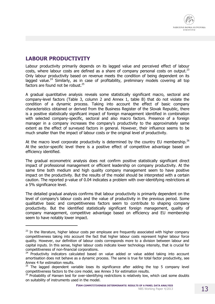

### **LABOUR PRODUCTIVITY**

-

Labour productivity primarily depends on its lagged value and perceived effect of labour costs, where labour costs are defined as a share of company personal costs on output.<sup>23</sup> Only labour productivity based on revenue meets the condition of being dependent on its lagged value.<sup>24</sup> Similarly, as in case of profitability, preliminary models covering all top factors are found not be robust.<sup>25</sup>

A gradual quantitative analysis reveals some statistically significant macro, sectoral and company-level factors (Table 3, column 2 and Annex 1, table B) that do not violate the condition of a dynamic process. Taking into account the effect of basic company characteristics obtained or derived from the Business Register of the Slovak Republic, there is a positive statistically significant impact of foreign management identified in combination with selected company-specific, sectoral and also macro factors. Presence of a foreign manager in a company increases the company's productivity to the approximately same extent as the effect of surveyed factors in general. However, their influence seems to be much smaller than the impact of labour costs or the original level of productivity.

At the macro level corporate productivity is determined by the country EU membership.<sup>26</sup> At the sector-specific level there is a positive effect of competitive advantage based on efficiency identified.

The gradual econometric analysis does not confirm positive statistically significant direct impact of professional management or efficient leadership on company productivity. At the same time both medium and high quality company management seem to have positive impact on the productivity. But the results of the model should be interpreted with a certain caution. The reported p-value of 0.04 indicates a problem with over-identifying restrictions at a 5% significance level.

The detailed gradual analysis confirms that labour productivity is primarily dependent on the level of company's labour costs and the value of productivity in the previous period. Some qualitative basic and competitiveness factors seem to contribute to shaping company productivity. But the identified statistically significant foreign management, quality of company management, competitive advantage based on efficiency and EU membership seem to have notably lower impact.

<sup>&</sup>lt;sup>23</sup> In the literature, higher labour costs per employee are frequently associated with higher company competitiveness taking into account the fact that higher labour costs represent higher labour force quality. However, our definition of labour costs corresponds more to a division between labour and capital inputs. In this sense, higher labour costs indicate lower technology intensity, that is crucial for competitiveness of non-financial corporations.

 $24$  Productivity indicators calculated based on value added or value added taking into account amortisation does not behave as a dynamic process. The same is true for total factor productivity, see Annex 4 for estimation results.

 $25$  The lagged dependent variable loses its significance after adding the top 5 company level competitiveness factors to the core model, see Annex 3 for estimation results.

<sup>&</sup>lt;sup>26</sup> Probability of Hansen test for over-identifying restrictions is relatively low, which cast some doubts on suitability of instruments used in the model.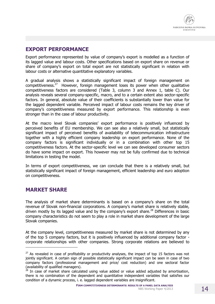### **EXPORT PERFORMANCE**

Export performance represented by value of company's export is modelled as a function of its lagged value and labour costs. Other specifications based on export share on revenue or share of company's export on total export are not statistically significant in relation with labour costs or alternative quantitative explanatory variables.

A gradual analysis shows a statistically significant impact of foreign management on competitiveness.<sup>27</sup> However, foreign management loses its power when other qualitative competitiveness factors are considered (Table 3, column 3 and Annex 1, table C). Our analysis reveals several company-specific, macro, and to a certain extent also sector-specific factors. In general, absolute value of their coefficients is substantially lower than value for the lagged dependent variable. Perceived impact of labour costs remains the key driver of company's competitiveness measured by export performance. This relationship is even stronger than in the case of labour productivity.

At the macro level Slovak companies' export performance is positively influenced by perceived benefits of EU membership. We can see also a relatively small, but statistically significant impact of perceived benefits of availability of telecommunication infrastructure together with a highly efficient company leadership on export performance. None of the company factors is significant individually or in a combination with other top 15 competitiveness factors. At the sector-specific level we can see developed consumer sectors do have some impact on export. This however may not be fully confirmed due to technical limitations in testing the model.

In terms of export competitiveness, we can conclude that there is a relatively small, but statistically significant impact of foreign management, efficient leadership and euro adoption on competitiveness.

### **MARKET SHARE**

j

The analysis of market share determinants is based on a company's share on the total revenue of Slovak non-financial corporations. A company's market share is relatively stable, driven mostly by its lagged value and by the company's export share.<sup>28</sup> Differences in basic company characteristics do not seem to play a role in market share development of the large Slovak companies.

At the company level, competitiveness measured by market share is not determined by any of the top 5 company factors, but it is positively influenced by additional company factor corporate relationships with other companies. Strong corporate relations are believed to

 $27$  As revealed in case of profitability or productivity analyses, the impact of top 15 factors was not jointly significant. A certain sign of possible statistically significant impact can be seen in case of two company factors (professional management and price/ cost reduction) and one sectoral factor (availability of qualified managers).

 $28$  In case of market share calculated using value added or value added adjusted by amortisation, there is no combination of the dependent and quantitative independent variables that satisfies our condition of a dynamic process, i. e. lagged dependent variables are insignificant.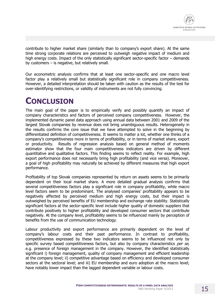

contribute to higher market share (similarly than to company's export share). At the same time strong corporate relations are perceived to outweigh negative impact of medium and high energy costs. Impact of the only statistically significant sector-specific factor – demands by customers – is negative, but relatively small.

Our econometric analysis confirms that at least one sector-specific and one macro level factor play a relatively small but statistically significant role in company competitiveness. However, a detailed interpretation should be taken with caution as the results of the test for over-identifying restrictions, or validity of instruments are not fully convincing.

# **CONCLUSION**

The main goal of the paper is to empirically verify and possibly quantify an impact of company characteristics and factors of perceived company competitiveness. However, the implemented dynamic panel data approach using annual data between 2001 and 2009 of the largest Slovak companies by revenue does not bring unambiguous results. Heterogeneity in the results confirms the core issue that we have attempted to solve in the beginning by differentiated definition of competitiveness. It seems to matter a lot, whether one thinks of a company's competitiveness more in terms of profitability, or in terms of market share, export or productivity. Results of regression analysis based on general method of moments estimator show that the four main competitiveness indicators are driven by different quantitative and qualitative factors. This finding seems to reflect reality. For example, high export performance does not necessarily bring high profitability (and vice versa). Moreover, a goal of high profitability may naturally be achieved by different measures that high export performance.

Profitability of top Slovak companies represented by return on assets seems to be primarily dependent on their local market share. A more detailed gradual analysis confirms that several competitiveness factors play a significant role in company profitability, while macro level factors seem to be predominant. The analysed companies' profitability appears to be negatively affected by perceived medium and high energy costs, but their impact is outweighed by perceived benefits of EU membership and exchange rate stability. Statistically significant factors at the sector-specific level include higher quality of domestic suppliers that contribute positively to higher profitability and developed consumer sectors that contribute negatively. At the company level, profitability seems to be influenced mainly by perception of benefits from the use of communication technology.

Labour productivity and export performance are primarily dependent on the level of company's labour costs and their past performance. In contrast to profitability, competitiveness expressed by these two indicators seems to be influenced not only by specific survey based competitiveness factors, but also by company characteristics per se, e.g. presence of foreign management in the company. However, the identified statistically significant i) foreign management, quality of company management and efficient leadership at the company level; ii) competitive advantage based on efficiency and developed consumer sectors at the sectoral level; and iii) EU membership and euro adoption at the macro level; have notably lower impact than the lagged dependent variable or labour costs.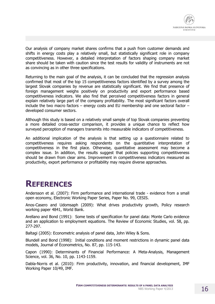

Our analysis of company market shares confirms that a push from customer demands and shifts in energy costs play a relatively small, but statistically significant role in company competitiveness. However, a detailed interpretation of factors shaping company market share should be taken with caution since the test results for validity of instruments are not as convincing as in other three specifications.

Returning to the main goal of the analysis, it can be concluded that the regression analysis confirmed that most of the top 15 competitiveness factors identified by a survey among the largest Slovak companies by revenue are statistically significant. We find that presence of foreign management weighs positively on productivity and export performance based competitiveness indicators. We also find that perceived competitiveness factors in general explain relatively large part of the company profitability. The most significant factors overall include the two macro factors – energy costs and EU membership and one sectoral factor – developed consumer sectors.

Although this study is based on a relatively small sample of top Slovak companies preventing a more detailed cross-sector comparison, it provides a unique chance to reflect how surveyed perception of managers transmits into measurable indicators of competitiveness.

An additional implication of the analysis is that setting up a questionnaire related to competitiveness requires asking respondents on the quantitative interpretation of competitiveness in the first place. Otherwise, quantitative assessment may become a complex issue. In addition, the results suggest that policies supporting competitiveness should be drawn from clear aims. Improvement in competitiveness indicators measured as productivity, export performance or profitability may require diverse approaches.

### **REFERENCES**

Andersson et al. (2007): Firm performance and international trade - evidence from a small open economy, Electronic Working Paper Series, Paper No. 99, CESIS.

Anos-Casero and Udomsaph (2009): What drives productivity growth, Policy research working paper 4841, World Bank.

Arellano and Bond (1991): Some tests of specification for panel data: Monte Carlo evidence and an application to employment equations. The Review of Economic Studies, vol. 58, pp. 277-297.

Baltagi (2005): Econometric analysis of panel data, John Wiley & Sons.

Blundell and Bond (1998): Initial conditions and moment restrictions in dynamic panel data models, Journal of Econometrics, No. 87, pp. 115-143.

Capon (1990): Determinants of Financial Performance: A Meta-Analysis, Management Science, vol. 36, No. 10, pp. 1143-1159.

Dabla-Norris et al. (2010): Firm productivity, innovation, and financial development, IMF Working Paper 10/49, IMF.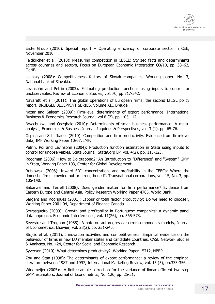Erste Group (2010): Special report – Operating efficiency of corporate sector in CEE, November 2010.

Feldkircher et al. (2010): Measuring competition in CESEE: Stylized facts and determinants across countries and sectors, Focus on European Economic Integration Q3/10, pp. 38–62, OeNB.

Lalinsky (2008): Competitiveness factors of Slovak companies, Working paper, No. 3, National bank of Slovakia.

Levinsohn and Petrin (2003): Estimating production functions using inputs to control for unobservables, Review of Economic Studies, vol. 70, pp.317-342.

Navaretti et al. (2011): The global operations of European firms: the second EFIGE policy report, BRUEGEL BLUEPRINT SERIES, Volume XII, Breugel.

Nazar and Saleem (2009): Firm-level determinants of export performance, International Business & Economics Research Journal, vol.8 (2), pp. 105-112.

Nwachukwu and Oseghale (2010): Determinants of small business performance: A metaanalysis, Economics & Business Journal: Inquiries & Perspectives, vol. 3 (1), pp. 65-76.

Ospina and Schiffbauer (2010): Competition and firm productivity: Evidence from firm-level data, IMF Working Paper 10/67, IMF.

Petrin, Poi and Levinsohn (2004): Production function estimation in Stata using inputs to control for unobservables, Stata Journal, StataCorp LP, vol. 4(2), pp. 113-123.

Roodman (2006): How to Do xtabond2: An Introduction to "Difference" and "System" GMM in Stata, Working Paper 103, Center for Global Development.

Rutkowski (2006): Inward FDI, concentration, and profitability in the CEECs: Where the domestic firms crowded out or strengthened?, Transnational corporations, vol. 15, No. 3, pp. 105-140.

Sabarwal and Terrell (2008): Does gender matter for firm performance? Evidence from Eastern Europe and Central Asia, Policy Research Working Paper 4705, World Bank.

Sargent and Rodriguez (2001): Labour or total factor productivity: Do we need to choose?, Working Paper 2001-04, Department of Finance Canada.

Serrasqueiro (2009): Growth and profitability in Portuguese companies: a dynamic panel data approach, Economic Interferences, vol. 11(26), pp. 565-573.

Sevestre and Trognon (1985): A note on autoregressive error components models, Journal of Econometrics, Elsevier, vol. 28(2), pp. 231-245.

Stojcic et al. (2011): Innovation activities and competitiveness: Empirical evidence on the behaviour of firms in new EU member states and candidate countries. CASE Network Studies & Analyses, No. 424, Center for Social and Economic Research.

Syverson (2010): What determines productivity?, Working Paper 15712, NBER.

Zou and Stan (1998): The determinants of export performance: a review of the empirical literature between 1987 and 1997, International Marketing Review, vol. 15 (5), pp.333-356.

Windmeijer (2005): A finite sample correction for the variance of linear efficient two-step GMM estimators, Journal of Econometrics, No. 126, pp. 25-51.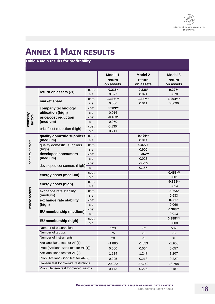

### **ANNEX 1 MAIN RESULTS**

### **Table A Main results for profitability**

|                    |                                                                                              |               | <b>Model 1</b>      | <b>Model 2</b>      | <b>Model 3</b>      |
|--------------------|----------------------------------------------------------------------------------------------|---------------|---------------------|---------------------|---------------------|
|                    |                                                                                              |               | return<br>on assets | return<br>on assets | return<br>on assets |
|                    |                                                                                              | coef.         | $0.215*$            | $0.236*$            | $0.227*$            |
|                    | return on assets (-1)                                                                        | s.e.          | 0.077               | 0.071               | 0.070               |
|                    |                                                                                              | coef.         | 1.336***            | 1.387**             | $1.294***$          |
|                    | market share                                                                                 | s.e.          | 0.006               | 0.011               | 0.0096              |
|                    | company technology                                                                           | coef.         | $0.303**$           |                     |                     |
|                    | utilisation (high)                                                                           | s.e.          | 0.016               |                     |                     |
| company<br>factors | price/cost reduction                                                                         | coef.         | $-0.183*$           |                     |                     |
|                    | (medium)                                                                                     | s.e.          | 0.050               |                     |                     |
|                    | price/cost reduction (high)                                                                  | coef.         | $-0.1304$           |                     |                     |
|                    |                                                                                              | s.e.          | 0.211               |                     |                     |
|                    | quality domestic suppliers                                                                   | coef.         |                     | $0.426**$           |                     |
|                    | (medium)                                                                                     | s.e.          |                     | 0.014               |                     |
|                    | quality domestic. suppliers                                                                  | coef.         |                     | 0.0277              |                     |
| sectoral factors   | (high)                                                                                       | s.e.          |                     | 0.900               |                     |
|                    | developed consumers                                                                          | coef.         |                     | $-0.362**$          |                     |
|                    | (medium)<br>developed consumers (high)                                                       | s.e.          |                     | 0.023               |                     |
|                    |                                                                                              | coef.         |                     | $-0.255$            |                     |
|                    |                                                                                              | s.e.          |                     | 0.155               |                     |
|                    | energy costs (medium)<br>energy costs (high)                                                 | coef.         |                     |                     | $-0.453***$         |
|                    |                                                                                              | s.e.          |                     |                     | 0.001<br>$-0.393**$ |
|                    |                                                                                              | coef.         |                     |                     |                     |
|                    |                                                                                              | s.e.<br>coef. |                     |                     | 0.014<br>0.0632     |
|                    | exchange rate stability<br>(medium)                                                          | s.e.          |                     |                     | 0.533               |
| macro factors      | exchange rate stability                                                                      | coef.         |                     |                     | $0.356*$            |
|                    | (high)                                                                                       | s.e.          |                     |                     | 0.066               |
|                    |                                                                                              | coef.         |                     |                     | $0.388**$           |
|                    | EU membership (medium)                                                                       | s.e.          |                     |                     | 0.013               |
|                    |                                                                                              | coef.         |                     |                     | $0.388***$          |
|                    | EU membership (high)                                                                         | s.e.          |                     |                     | 0.008               |
|                    | Number of observations                                                                       |               | 529                 | 502                 | 532                 |
|                    | Number of groups                                                                             |               | 75                  | 72                  | 75                  |
|                    | Number of instruments<br>Arellano-Bond test for AR(1)<br>Prob (Arellano-Bond test for AR(1)) |               | 28                  | 29                  | 31                  |
|                    |                                                                                              |               | $-1.880$            | $-1.853$            | $-1.906$            |
|                    |                                                                                              |               | 0.060               | 0.064               | 0.057               |
|                    | Arellano-Bond test for AR(2)                                                                 |               |                     |                     |                     |
|                    | Prob (Arellano-Bond test for AR(2))                                                          |               | 1.214               | 1.247               | 1.207               |
|                    |                                                                                              |               | 0.225               | 0.213               | 0.227               |
|                    | Hansen test for over-id. restrictions                                                        |               | 29.232              | 27.742              | 28.798              |
|                    | Prob (Hansen test for over-id. restr.)                                                       |               | 0.173               | 0.226               | 0.187               |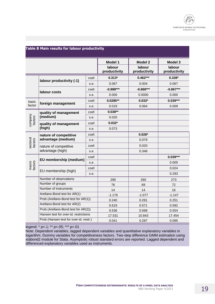

#### **Table B Main results for labour productivity**

|                     |                                                                                                                              |       | <b>Model 1</b> | <b>Model 2</b> | <b>Model 3</b> |
|---------------------|------------------------------------------------------------------------------------------------------------------------------|-------|----------------|----------------|----------------|
|                     |                                                                                                                              |       | labour         | labour         | labour         |
|                     |                                                                                                                              |       | productivity   | productivity   | productivity   |
|                     |                                                                                                                              | coef. | $0.313*$       | $0.462***$     | $0.338*$       |
|                     | labour productivity (-1)                                                                                                     | s.e.  | 0.067          | 0.004          | 0.067          |
|                     |                                                                                                                              | coef. | $-0.888***$    | $-0.868***$    | $-0.867***$    |
|                     | labour costs                                                                                                                 |       | 0.000          | 0.0000         | 0.000          |
| basic               |                                                                                                                              | coef. | $0.0285**$     | $0.033*$       | $0.039***$     |
| factor              | foreign management                                                                                                           |       | 0.019          | 0.064          | 0.009          |
|                     | quality of management                                                                                                        | coef. | $0.038**$      |                |                |
| company             | (medium)                                                                                                                     | s.e.  | 0.020          |                |                |
| factors             | quality of management<br>(high)                                                                                              | coef. | $0.032*$       |                |                |
|                     |                                                                                                                              | s.e.  | 0.073          |                |                |
|                     | nature of competitive<br>advantage (medium)                                                                                  | coef. |                | $0.028*$       |                |
|                     |                                                                                                                              | s.e.  |                | 0.079          |                |
| sectoral<br>factors | nature of competitive                                                                                                        | coef. |                | 0.020          |                |
|                     | advantage (high)                                                                                                             | s.e.  |                | 0.348          |                |
|                     | EU membership (medium)                                                                                                       | coef. |                |                | $0.039***$     |
|                     |                                                                                                                              | s.e.  |                |                | 0.005          |
| macro<br>factors    |                                                                                                                              | coef. |                |                | 0.024          |
|                     | EU membership (high)                                                                                                         | s.e.  |                |                | 0.293          |
|                     | Number of observations                                                                                                       |       | 290            | 260            | 273            |
|                     | Number of groups                                                                                                             |       | 76             | 69             | 72             |
|                     | Number of instruments<br>Arellano-Bond test for AR(1)<br>Prob (Arellano-Bond test for AR(1))<br>Arellano-Bond test for AR(2) |       | 14             | 14             | 16             |
|                     |                                                                                                                              |       | $-1.176$       | $-1.077$       | $-1.147$       |
|                     |                                                                                                                              |       | 0.240          | 0.281          | 0.251          |
|                     |                                                                                                                              |       | 0.619          | 0.571          | 0.592          |
|                     | Prob (Arellano-Bond test for AR(2))                                                                                          |       | 0.536          | 0.568          | 0.554          |
|                     | Hansen test for over-id, restrictions                                                                                        |       | 17.531         | 10.843         | 17.454         |
|                     | Prob (Hansen test for over-id. restr.)                                                                                       |       | 0.041          | 0.287          | 0.095          |

legend: \* p<.1; \*\* p<.05; \*\*\* p<.01

Note: Dependent variables, lagged dependent variables and quantitative explanatory variables in logarithm. Dummy variables for competitiveness factors. Two-step difference GMM estimation using xtabond2 module for Stata. Asymptotic robust standard errors are reported. Lagged dependent and differenced explanatory variables used as instruments.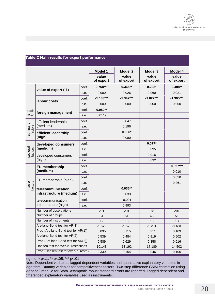|                     |                                        |       | <b>Model 1</b><br>value<br>of export | <b>Model 2</b><br>value<br>of export | Model 3<br>value<br>of export | Model 4<br>value<br>of export |  |  |
|---------------------|----------------------------------------|-------|--------------------------------------|--------------------------------------|-------------------------------|-------------------------------|--|--|
|                     |                                        | coef. | $0.768***$                           | $0.365**$                            | $0.298*$                      | $0.408**$                     |  |  |
|                     | value of export (-1)                   | s.e.  | 0.000                                | 0.026                                | 0.060                         | 0.021                         |  |  |
|                     |                                        | coef. | $-1.133***$                          | $-1.347***$                          | $-1.027***$                   | $-1.305***$                   |  |  |
|                     | labour costs                           | s.e.  | 0.000                                | 0.000                                | 0.000                         | 0.000                         |  |  |
| basic               |                                        | coef. | $0.059**$                            |                                      |                               |                               |  |  |
| factor              | foreign management                     | s.e.  | 0.0119                               |                                      |                               |                               |  |  |
|                     | efficient leadership                   | coef. |                                      | 0.047                                |                               |                               |  |  |
|                     | (medium)                               | s.e.  |                                      | 0.196                                |                               |                               |  |  |
| company<br>factors  | efficient leadership                   | coef. |                                      | $0.066*$                             |                               |                               |  |  |
|                     | (high)                                 | s.e.  |                                      | 0.080                                |                               |                               |  |  |
|                     | developed consumers<br>(medium)        | coef. |                                      |                                      | $0.077*$                      |                               |  |  |
|                     |                                        | s.e.  |                                      |                                      | 0.095                         |                               |  |  |
| sectoral<br>factors | developed consumers<br>(high)          | coef. |                                      |                                      | 0.016                         |                               |  |  |
|                     |                                        | s.e.  |                                      |                                      | 0.632                         |                               |  |  |
|                     | <b>EU</b> membership<br>(medium)       | coef. |                                      |                                      |                               | $0.097***$                    |  |  |
|                     |                                        | s.e.  |                                      |                                      |                               | 0.010                         |  |  |
|                     |                                        | coef. |                                      |                                      |                               | 0.050                         |  |  |
| factors<br>macro    | EU membership (high)                   | s.e.  |                                      |                                      |                               | 0.261                         |  |  |
|                     | telecommunication                      | coef. |                                      | $0.035**$                            |                               |                               |  |  |
|                     | infrastructure (medium)                | s.e.  |                                      | 0.033                                |                               |                               |  |  |
|                     | telecommunication                      | coef. |                                      | $-0.001$                             |                               |                               |  |  |
|                     | infrastructure (high)                  | s.e.  |                                      | 0.993                                |                               |                               |  |  |
|                     | Number of observations                 |       | 201                                  | 201                                  | 186                           | 201                           |  |  |
|                     | Number of groups                       |       | 51                                   | 51                                   | 48                            | 51                            |  |  |
|                     | Number of instruments                  |       | 12                                   | 15                                   | 13                            | 13                            |  |  |
|                     | Arellano-Bond test for AR(1)           |       | $-1.672$                             | $-1.575$                             | $-1.251$                      | $-1.601$                      |  |  |
|                     | Prob (Arellano-Bond test for AR(1))    |       | 0.095                                | 0.115                                | 0.211                         | 0.109                         |  |  |
|                     | Arellano-Bond test for AR(2)           |       | 0.539                                | 0.484                                | 0.919                         | 0.502                         |  |  |
|                     | Prob (Arellano-Bond test for AR(2))    |       | 0.589                                | 0.629                                | 0.358                         | 0.616                         |  |  |
|                     | Hansen test for over-id. restrictions  |       | 10.148                               | 13.192                               | 17.189                        | 14.502                        |  |  |
|                     | Prob (Hansen test for over-id. restr.) |       | 0.339                                | 0.154                                | 0.046                         | 0.106                         |  |  |

#### **Table C Main results for export performance**

legend: \* p<.1; \*\* p<.05; \*\*\* p<.01

Note: Dependent variables, lagged dependent variables and quantitative explanatory variables in logarithm. Dummy variables for competitiveness factors. Two-step difference GMM estimation using xtabond2 module for Stata. Asymptotic robust standard errors are reported. Lagged dependent and differenced explanatory variables used as instruments.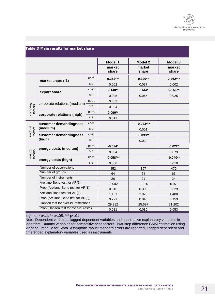

#### **Table D Main results for market share**

|                     |                                                                                              |       | Model 1<br>market<br>share | <b>Model 2</b><br>market<br>share | Model 3<br>market<br>share |  |  |
|---------------------|----------------------------------------------------------------------------------------------|-------|----------------------------|-----------------------------------|----------------------------|--|--|
|                     |                                                                                              | coef. | $0.252***$                 | $0.329**$                         | $0.262***$                 |  |  |
|                     | market share (-1)                                                                            | s.e.  | 0.002                      | 0.037                             | 0.002                      |  |  |
|                     |                                                                                              | coef. | $0.148**$                  | $0.133*$                          | $0.156**$                  |  |  |
|                     | export share                                                                                 | s.e.  | 0.025                      | 0.065                             | 0.025                      |  |  |
|                     |                                                                                              | coef. | 0.002                      |                                   |                            |  |  |
|                     | corporate relations (medium)                                                                 | s.e.  | 0.924                      |                                   |                            |  |  |
| company<br>factors  |                                                                                              | coef. | $0.090**$                  |                                   |                            |  |  |
|                     | corporate relations (high)                                                                   | s.e.  | 0.011                      |                                   |                            |  |  |
|                     | customer demandingness<br>(medium)                                                           | coef. |                            | $-0.043***$                       |                            |  |  |
|                     |                                                                                              | s.e.  |                            | 0.001                             |                            |  |  |
| sectoral<br>factors | customer demandingness<br>(high)                                                             | coef. |                            | $-0.033**$                        |                            |  |  |
|                     |                                                                                              | s.e.  |                            | 0.022                             |                            |  |  |
|                     | energy costs (medium)                                                                        | coef. | $-0.024*$                  |                                   | $-0.022*$                  |  |  |
| macro<br>factors    |                                                                                              | s.e.  | 0.064                      |                                   | 0.079                      |  |  |
|                     |                                                                                              | coef. | $-0.058***$                |                                   | $-0.040**$                 |  |  |
|                     | energy costs (high)                                                                          | s.e.  | 0.008                      |                                   | 0.019                      |  |  |
|                     | Number of observations                                                                       |       | 452                        | 397                               | 470                        |  |  |
|                     | Number of groups                                                                             |       | 64                         | 64                                | 66                         |  |  |
|                     | Number of instruments<br>Arellano-Bond test for AR(1)<br>Prob (Arellano-Bond test for AR(1)) |       | 26                         | 21                                | 24                         |  |  |
|                     |                                                                                              |       | $-0.502$                   | $-1.026$                          | $-0.976$                   |  |  |
|                     |                                                                                              |       | 0.616                      | 0.305                             | 0.329                      |  |  |
|                     | Arellano-Bond test for AR(2)                                                                 |       | 1.101                      | 2.028                             | 1.408                      |  |  |
|                     | Prob (Arellano-Bond test for AR(2))                                                          |       | 0.271                      | 0.043                             | 0.159                      |  |  |
|                     | Hansen test for over-id. restrictions                                                        |       | 29.382                     | 25.697                            | 31.202                     |  |  |
|                     | Prob (Hansen test for over-id. restr.)                                                       |       | 0.081                      | 0.080                             | 0.053                      |  |  |

legend: \* p<.1; \*\* p<.05; \*\*\* p<.01

Note: Dependent variables, lagged dependent variables and quantitative explanatory variables in logarithm. Dummy variables for competitiveness factors. Two-step difference GMM estimation using xtabond2 module for Stata. Asymptotic robust standard errors are reported. Lagged dependent and differenced explanatory variables used as instruments.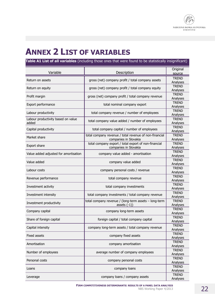

# **ANNEX 2 LIST OF VARIABLES**

|                                             | <b>Table A1 List of all variables</b> (including those ones that were found to be statistically insignificant) |                                      |
|---------------------------------------------|----------------------------------------------------------------------------------------------------------------|--------------------------------------|
| Variable                                    | Description                                                                                                    | Original                             |
|                                             |                                                                                                                | source                               |
| Return on assets                            | gross (net) company profit / total company assets                                                              | <b>TREND</b>                         |
|                                             |                                                                                                                | Analyses<br><b>TREND</b>             |
| Return on equity                            | gross (net) company profit / total company equity                                                              | Analyses                             |
| Profit margin                               | gross (net) company profit / total company revenue                                                             | <b>TREND</b><br>Analyses             |
| Export performance                          | total nominal company export                                                                                   | <b>TREND</b><br>Analyses             |
| Labour productivity                         | total company revenue / number of employees                                                                    | <b>TREND</b><br>Analyses             |
| Labour productivity based on value<br>added | total company value added / number of employees                                                                | <b>TREND</b><br>Analyses             |
| Capital productivity                        | total company capital / number of employees                                                                    | <b>TREND</b><br>Analyses             |
| Market share                                | total company revenue / total revenue of non-financial<br>companies in Slovakia                                | <b>TREND</b><br>Analyses             |
| Export share                                | total company export / total export of non-financial                                                           | <b>TREND</b>                         |
|                                             | companies in Slovakia                                                                                          | Analyses                             |
| Value added adjusted for amortisation       | company value added - amortisation                                                                             | <b>TREND</b><br>Analyses             |
| Value added                                 | company value added                                                                                            | <b>TREND</b><br>Analyses             |
| Labour costs                                | company personal costs / revenue                                                                               | <b>TREND</b><br>Analyses             |
| Revenue performance                         | total company revenue                                                                                          | <b>TREND</b><br>Analyses             |
| Investment activity                         | total company investments                                                                                      | <b>TREND</b><br>Analyses             |
| Investment intensity                        | total company investments / total company revenue                                                              | <b>TREND</b>                         |
| Investment productivity                     | total company revenue / (long-term assets - long-term                                                          | Analyses<br><b>TREND</b>             |
|                                             | assets $(-1)$ )                                                                                                | Analyses<br><b>TREND</b>             |
| Company capital                             | company long-term assets                                                                                       | Analyses                             |
| Share of foreign capital                    | foreign capital / total company capital                                                                        | <b>TREND</b><br>Analyses             |
| Capital intensity                           | company long-term assets / total company revenue                                                               | <b>TREND</b><br>Analyses             |
| Fixed assets                                | company fixed assets                                                                                           | <b>TREND</b><br>Analyses             |
| Amortisation                                | company amortisation                                                                                           | <b>TREND</b><br>Analyses             |
| Number of employees                         | average number of company employees                                                                            | <b>TREND</b><br>Analyses             |
| Personal costs                              | company personal costs                                                                                         | <b>TREND</b><br>Analyses             |
| Loans                                       | company loans                                                                                                  | <b>TREND</b>                         |
| Leverage                                    | company loans / company assets                                                                                 | Analyses<br><b>TREND</b><br>Analyses |

**FIRM COMPETITIVENESS DETERMINANTS: RESULTS OF A PANEL DATA ANALYSIS** NBS Working Paper 4/2013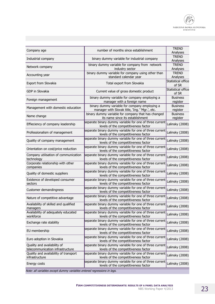| Company age                                                     | number of months since establishment                                                            | <b>TREND</b><br>Analyses    |
|-----------------------------------------------------------------|-------------------------------------------------------------------------------------------------|-----------------------------|
| Industrial company                                              | binary dummy variable for industrial company                                                    | <b>TREND</b><br>Analyses    |
| Network company                                                 | binary dummy variable for company from network<br>industry sector                               | <b>TREND</b><br>Analyses    |
| Accounting year                                                 | binary dummy variable for company using other than<br>standard calendar year                    | <b>TREND</b><br>Analyses    |
| Export from Slovakia                                            | Total export from Slovakia                                                                      | Statistical office<br>of SR |
| GDP in Slovakia                                                 | Current value of gross domestic product                                                         | Statistical office<br>of SR |
| Foreign management                                              | binary dummy variable for company employing a<br>manager with a foreign name                    | <b>Business</b><br>register |
| Management with domestic education                              | binary dummy variable for company employing a<br>manager with Slovak title, 'Ing.' 'Mgr.', etc. | <b>Business</b><br>register |
| Name change                                                     | binary dummy variable for company that has changed<br>its name since its establishment          | <b>Business</b><br>register |
| Effieciency of company leadership                               | separate binary dummy variable for one of three current<br>levels of the competitiveness factor | Lalinsky (2008)             |
| Professionalism of management                                   | separate binary dummy variable for one of three current<br>levels of the competitiveness factor | Lalinsky (2008)             |
| Quality of company management                                   | separate binary dummy variable for one of three current<br>levels of the competitiveness factor | Lalinsky (2008)             |
| Orientation on cost/price reduction                             | separate binary dummy variable for one of three current<br>levels of the competitiveness factor | Lalinsky (2008)             |
| Company utilisation of communication<br>technology              | separate binary dummy variable for one of three current<br>levels of the competitiveness factor | Lalinsky (2008)             |
| Corporate relationship with other<br>companies                  | separate binary dummy variable for one of three current<br>levels of the competitiveness factor | Lalinsky (2008)             |
| Quality of domestic suppliers                                   | separate binary dummy variable for one of three current<br>levels of the competitiveness factor | Lalinsky (2008)             |
| Existence of developed consumer<br>sectors                      | separate binary dummy variable for one of three current<br>levels of the competitiveness factor | Lalinsky (2008)             |
| Customer demandingness                                          | separate binary dummy variable for one of three current<br>levels of the competitiveness factor | Lalinsky (2008)             |
| Nature of competitive advantage                                 | separate binary dummy variable for one of three current<br>levels of the competitiveness factor | Lalinsky (2008)             |
| Availability of skilled and qualified<br>managers               | separate binary dummy variable for one of three current<br>levels of the competitiveness factor | Lalinsky (2008)             |
| Availability of adequately educated<br>workforce                | separate binary dummy variable for one of three current<br>levels of the competitiveness factor | Lalinsky (2008)             |
| Exchange rate stability                                         | separate binary dummy variable for one of three current<br>levels of the competitiveness factor | Lalinsky (2008)             |
| EU membership                                                   | separate binary dummy variable for one of three current<br>levels of the competitiveness factor | Lalinsky (2008)             |
| Euro adoption in Slovakia                                       | separate binary dummy variable for one of three current<br>levels of the competitiveness factor | Lalinsky (2008)             |
| Quality and availability of<br>telecommunication infrastructure | separate binary dummy variable for one of three current<br>levels of the competitiveness factor | Lalinsky (2008)             |
| Quality and availability of transport<br>infrastructure         | separate binary dummy variable for one of three current<br>levels of the competitiveness factor | Lalinsky (2008)             |
| Energy costs                                                    | separate binary dummy variable for one of three current<br>levels of the competitiveness factor | Lalinsky (2008)             |
|                                                                 |                                                                                                 |                             |

Note: all variables except dummy variables entered regressions in logs.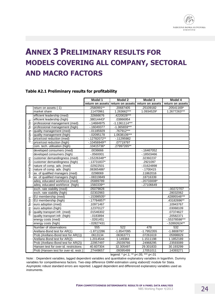

# **ANNEX 3 PRELIMINARY RESULTS FOR MODELS COVERING ALL COMPANY, SECTORAL AND MACRO FACTORS**

#### **Table A2.1 Preliminary results for profitability**

|                                  |                                                                                                                                                                                                                                                                                                                                                                                                           | Model 1          | Model 2          | Model 3          | Model 4          |  |  |
|----------------------------------|-----------------------------------------------------------------------------------------------------------------------------------------------------------------------------------------------------------------------------------------------------------------------------------------------------------------------------------------------------------------------------------------------------------|------------------|------------------|------------------|------------------|--|--|
|                                  |                                                                                                                                                                                                                                                                                                                                                                                                           | return on assets | return on assets | return on assets | return on assets |  |  |
|                                  | return on assets (-1)                                                                                                                                                                                                                                                                                                                                                                                     | .2580991**       | .20687405        | .25109182        | .20541169*       |  |  |
|                                  | market share                                                                                                                                                                                                                                                                                                                                                                                              | .11470961        | 1.263662***      | 1.0934529*       | 1.2677263***     |  |  |
|                                  | efficient leadership (med)                                                                                                                                                                                                                                                                                                                                                                                | .32666676        | .4220028***      |                  |                  |  |  |
|                                  | efficient leadership (high)                                                                                                                                                                                                                                                                                                                                                                               | .38014443*       | 03866954         |                  |                  |  |  |
|                                  | professional management (med)                                                                                                                                                                                                                                                                                                                                                                             | $-14684975$      | $-1.1361114***$  |                  |                  |  |  |
|                                  | professional management (high)                                                                                                                                                                                                                                                                                                                                                                            | $-0.16049377$    | $-1.365659***$   |                  |                  |  |  |
|                                  | quality management (med)                                                                                                                                                                                                                                                                                                                                                                                  | $-01185929$      | .767912***       |                  |                  |  |  |
|                                  | quality management (high)                                                                                                                                                                                                                                                                                                                                                                                 | $-02095178$      | 1.0638106***     |                  |                  |  |  |
|                                  | price/cost reduction (med)                                                                                                                                                                                                                                                                                                                                                                                | $-12782072**$    | $-11295982$      |                  |                  |  |  |
|                                  | price/cost reduction (high)                                                                                                                                                                                                                                                                                                                                                                               | $-0.10456949**$  | 07719797         |                  |                  |  |  |
|                                  | com. tech. utilisation (high)                                                                                                                                                                                                                                                                                                                                                                             | .10415736*       | 27997265**       |                  |                  |  |  |
| sectoral factors                 | developed consumers (med)                                                                                                                                                                                                                                                                                                                                                                                 | .0036666         |                  | $-.16467052$     |                  |  |  |
|                                  | developed consumers (high)                                                                                                                                                                                                                                                                                                                                                                                | $-0560001$       |                  | $-18503466$      |                  |  |  |
|                                  | customer demandingness (med)                                                                                                                                                                                                                                                                                                                                                                              | $-0.15226348**$  |                  | .32392237        |                  |  |  |
|                                  | customer demandingness (high)                                                                                                                                                                                                                                                                                                                                                                             | $-0.13731837*$   |                  | .2921097         |                  |  |  |
|                                  | nature of comp. adv. (med)                                                                                                                                                                                                                                                                                                                                                                                | 02922501         |                  | $-0.01624898$    |                  |  |  |
|                                  | nature of comp. adv. (high)                                                                                                                                                                                                                                                                                                                                                                               | .06365486*       |                  | $-1700415$       |                  |  |  |
|                                  | av. of qualified managers (med)                                                                                                                                                                                                                                                                                                                                                                           | .0298069         |                  | .11862016        |                  |  |  |
|                                  | av. of qualified managers (high)                                                                                                                                                                                                                                                                                                                                                                          | $-08319849$      |                  | .18716339        |                  |  |  |
|                                  | adeq. educated workforce (med)                                                                                                                                                                                                                                                                                                                                                                            | .05889789        |                  | -.20733008*      |                  |  |  |
|                                  | adeq. educated workforce (high)                                                                                                                                                                                                                                                                                                                                                                           | .1560339**       |                  | $-27106649$      |                  |  |  |
|                                  | exch. rate stability (med)                                                                                                                                                                                                                                                                                                                                                                                | .05079828        |                  |                  | $-00272707$      |  |  |
|                                  | exch. rate stability (high)                                                                                                                                                                                                                                                                                                                                                                               | .02302983        |                  |                  | .28032062        |  |  |
|                                  | EU membership (med)                                                                                                                                                                                                                                                                                                                                                                                       | $-0.15398505*$   |                  |                  | .42895546***     |  |  |
|                                  | EU membership (high)                                                                                                                                                                                                                                                                                                                                                                                      | $-0.17784857*$   |                  |                  | .43182696**      |  |  |
| company factors<br>macro factors | euro adoption (med)                                                                                                                                                                                                                                                                                                                                                                                       | .10971467        |                  |                  | .10943767        |  |  |
|                                  | euro adoption (high)                                                                                                                                                                                                                                                                                                                                                                                      | .12370127        |                  |                  | .03068109        |  |  |
|                                  | quality transport infr. (med)                                                                                                                                                                                                                                                                                                                                                                             | .01546302        |                  |                  | .07374627        |  |  |
|                                  | quality transport infr. (high)                                                                                                                                                                                                                                                                                                                                                                            | $-0183894$       |                  |                  | .20582371        |  |  |
|                                  | energy costs (med)                                                                                                                                                                                                                                                                                                                                                                                        | $-0.0261451$     |                  |                  | -.55378598***    |  |  |
|                                  | energy costs (high)                                                                                                                                                                                                                                                                                                                                                                                       | $-02827431$      |                  |                  | $-0.52892624**$  |  |  |
|                                  | Number of observations                                                                                                                                                                                                                                                                                                                                                                                    | 555              | 522              | 478              | 532              |  |  |
|                                  | Arellano-Bond test for AR(1)                                                                                                                                                                                                                                                                                                                                                                              | $-1.8712286$     | $-1.8547095$     | $-1.7952355$     | $-1.8808797$     |  |  |
|                                  | Prob (Arellano-Bond test for AR(1))                                                                                                                                                                                                                                                                                                                                                                       | .0613134         | .06363771        | .07261619        | .05998829        |  |  |
|                                  | Arellano-Bond test for AR(2)                                                                                                                                                                                                                                                                                                                                                                              | 1.2014544        | 1.149384         | 1.1511198        | 1.1852189        |  |  |
|                                  | Prob (Arellano-Bond test for AR(2))                                                                                                                                                                                                                                                                                                                                                                       | .22957497        | .25039766        | .24968295        | .23593089        |  |  |
|                                  | Hansen test for over-id. restrictions                                                                                                                                                                                                                                                                                                                                                                     | 40.607304        | 32.305497        | 29.301833        | 30.193299        |  |  |
|                                  | Prob (Hansen test for over-id. restr.)                                                                                                                                                                                                                                                                                                                                                                    | .27449657        | .09395499        | .17051011        | .14393271        |  |  |
|                                  | legend: * p<.1; ** p<.05; *** p<.01<br>Note: : Dependent variables, lagged dependent variables and quantitative explanatory variables in logarithm. Dummy<br>variables for competitiveness factors. Two-step difference GMM estimation using xtabond2 module for Stata.<br>Asymptotic robust standard errors are reported. Lagged dependent and differenced explanatory variables used as<br>instruments. |                  |                  |                  |                  |  |  |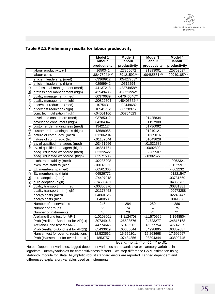|                  |                                                                                                   | Model 1          | <b>Model 2</b>   | Model 3                             | Model 4          |  |  |  |
|------------------|---------------------------------------------------------------------------------------------------|------------------|------------------|-------------------------------------|------------------|--|--|--|
|                  |                                                                                                   | labour           | labour           | labour                              | labour           |  |  |  |
|                  |                                                                                                   | productivity     | productivity     | productivity                        | productivity     |  |  |  |
|                  | labour productivity (-1)                                                                          | .1650341         | .27855672        | .21893001                           | .25763597        |  |  |  |
|                  | labour costs                                                                                      | $-0.88475941***$ | $-0.89121592***$ | $-0.90485551***$                    | $-0.90940185***$ |  |  |  |
|                  | efficient leadership (med)                                                                        | .03369912        | .05427763*       |                                     |                  |  |  |  |
|                  | efficient leadership (high)                                                                       | .02999942        | .0516294         |                                     |                  |  |  |  |
| company factors  | professional management (med)                                                                     | .44137218        | .48874958**      |                                     |                  |  |  |  |
|                  | professional management (high)                                                                    | 42549436         | .49631224**      |                                     |                  |  |  |  |
|                  | quality management (med)                                                                          | .00370639        | -.47646646**     |                                     |                  |  |  |  |
|                  | quality management (high)                                                                         | $-0.00822504$    | -.48405562**     |                                     |                  |  |  |  |
|                  | price/cost reduction (med)                                                                        | .1075431         | $-02449682$      |                                     |                  |  |  |  |
|                  | price/cost reduction (high)                                                                       | 10541712         | $-0328976$       |                                     |                  |  |  |  |
|                  | com. tech. utilisation (high)                                                                     | $-0.04001106$    | .00704523        |                                     |                  |  |  |  |
|                  | developed consumers (med)                                                                         | 03785012         |                  | .01425834                           |                  |  |  |  |
|                  | developed consumers (high)                                                                        | 04384347         |                  | 01197908                            |                  |  |  |  |
|                  | customer demandingness (med)                                                                      | 13421124         |                  | 01736092                            |                  |  |  |  |
|                  | customer demandingness (high)                                                                     | .13688955        |                  | 01210121                            |                  |  |  |  |
| sectoral factors | nature of comp. adv. (med)                                                                        | 01206204         |                  | .01669016                           |                  |  |  |  |
|                  | nature of comp. adv. (high)                                                                       | $-01182544$      |                  | 01043628                            |                  |  |  |  |
|                  | av. of qualified managers (med)                                                                   | $-0.03451966$    |                  | $-0.01031586$                       |                  |  |  |  |
|                  | av. of qualified managers (high)                                                                  | $-0.04851761$    |                  | $-0.092802$                         |                  |  |  |  |
|                  | adeq. educated workforce (med)                                                                    | .03322422        |                  | 02265507                            |                  |  |  |  |
|                  | adeq. educated workforce (high)                                                                   | .02571505        |                  | $-0.0302627$                        |                  |  |  |  |
|                  | exch. rate stability (med)                                                                        | $-02236208$      |                  |                                     | $-0.062321$      |  |  |  |
|                  | exch. rate stability (high)                                                                       | $-00146853$      |                  |                                     | $-01225917$      |  |  |  |
|                  | EU membership (med)                                                                               | .06561365        |                  |                                     | $-002232$        |  |  |  |
|                  | EU membership (high)                                                                              | .06526772        |                  |                                     | $-01221547$      |  |  |  |
|                  | euro adoption (med)                                                                               | -.74407918       |                  |                                     | .03731569        |  |  |  |
| macro factors    | euro adoption (high)                                                                              | -.74508481       |                  |                                     | .04356782        |  |  |  |
|                  | quality transport infr. (med)                                                                     | $-0.00300376$    |                  |                                     | .00881381        |  |  |  |
|                  | quality transport infr. (high)                                                                    | $-01178468$      |                  |                                     | $-00973288$      |  |  |  |
|                  | energy costs (med)                                                                                | 04860125         |                  |                                     | .02240447        |  |  |  |
|                  | energy costs (high)                                                                               | .040058          |                  |                                     | .0041958         |  |  |  |
|                  | Number of observations                                                                            | 245              | 284              | 250                                 | 286              |  |  |  |
|                  | Number of groups                                                                                  | 65               | 74               | 67                                  | 75               |  |  |  |
|                  | Number of instruments                                                                             | 40               | $\overline{20}$  | $\overline{21}$                     | $\overline{21}$  |  |  |  |
|                  | Arellano-Bond test for AR(1)                                                                      | $-1.0208001$     | $-1.1124708$     | $-1.1570969$                        | $-1.1548504$     |  |  |  |
|                  | Prob (Arellano-Bond test for AR(1))                                                               | .30734916        | .26593576        | .24723277                           | .24815168        |  |  |  |
|                  | Arellano-Bond test for AR(2)                                                                      | 44774646         | .51485201        | .45377754                           | .47747929        |  |  |  |
|                  | Prob (Arellano-Bond test for AR(2))                                                               | .65433619        | .60665644        | .64998895                           | .63302087        |  |  |  |
|                  | Hansen test for over-id. restrictions                                                             | 12.523562        | 15.659201        | 15.263668                           | 17.692967        |  |  |  |
|                  | Prob (Hansen test for over-id. restr.)                                                            | .1853757         | .07434856        | .08394344                           | .03890745        |  |  |  |
|                  |                                                                                                   |                  |                  | legend: * p<.1; ** p<.05; *** p<.01 |                  |  |  |  |
|                  | Note: : Dependent variables, lagged dependent variables and quantitative explanatory variables in |                  |                  |                                     |                  |  |  |  |
|                  | logarithm. Dummy variables for competitiveness factors. Two-step difference GMM estimation using  |                  |                  |                                     |                  |  |  |  |
|                  | xtabond2 module for Stata. Asymptotic robust standard errors are reported. Lagged dependent and   |                  |                  |                                     |                  |  |  |  |
|                  | differenced explanatory variables used as instruments.                                            |                  |                  |                                     |                  |  |  |  |

#### **Table A2.2 Preliminary results for labour productivity**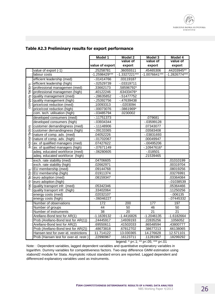|                                                                                                   |                                        | Model 1         | Model 2         | Model 3         | Model 4         |  |  |
|---------------------------------------------------------------------------------------------------|----------------------------------------|-----------------|-----------------|-----------------|-----------------|--|--|
|                                                                                                   |                                        |                 | value of        | value of        | value of        |  |  |
|                                                                                                   |                                        | value of export | export          | export          | export          |  |  |
|                                                                                                   | value of export (-1)                   | .25258781       | .36055511       | 45465306        | .44203945**     |  |  |
|                                                                                                   | labour costs                           | $-1.2598429***$ | $-1.3327221***$ | $-1.0076641***$ | $-1.2826774***$ |  |  |
|                                                                                                   | efficient leadership (med)             | $-01414766$     | .03119187       |                 |                 |  |  |
|                                                                                                   | efficient leadership (high)            | -.02529739      | $-0.03319711$   |                 |                 |  |  |
|                                                                                                   | professional managemen (med)           | .33662173       | .58596792*      |                 |                 |  |  |
| company factors                                                                                   | professional managemen (high)          | 40122246        | .63433476*      |                 |                 |  |  |
|                                                                                                   | quality management (med)               | -.28635852      | $-0.51477752$   |                 |                 |  |  |
|                                                                                                   | quality management (high)              | -.25392756      | -.47639438      |                 |                 |  |  |
|                                                                                                   | price/cost reduction (med)             | .10093313       | $-0203094$      |                 |                 |  |  |
|                                                                                                   | price/cost reduction (high)            | $-00073076$     | $-0.0861969*$   |                 |                 |  |  |
|                                                                                                   | com. tech. utilisation (high)          | $-0.03485794$   | .0230002        |                 |                 |  |  |
|                                                                                                   | developed consumers (med)              | $-.11751373$    |                 | .079681         |                 |  |  |
|                                                                                                   | developed consumers (high)             | $-03934344$     |                 | $-0.03599128$   |                 |  |  |
|                                                                                                   | customer demandingness (med)           | $-.11148906$    |                 | .07343077       |                 |  |  |
| sectoral factors                                                                                  | customer demandingness (high)          | $-0.09133365$   |                 | .03583408       |                 |  |  |
|                                                                                                   | nature of comp. adv. (med)             | .04052226       |                 | $-0.03831693$   |                 |  |  |
|                                                                                                   | nature of comp. adv. (high)            | $-01702067$     |                 | .00049947       |                 |  |  |
|                                                                                                   | av. of qualified managers (med)        | .07427622       |                 | $-0.0495206$    |                 |  |  |
|                                                                                                   | av. of qualified managers (high)       | $-07671149$     |                 | $-0.10947616*$  |                 |  |  |
|                                                                                                   | adeq. educated workforce (med)         | $-06280605$     |                 | $-0.018501$     |                 |  |  |
|                                                                                                   | adeq. educated workforce<br>(high)     |                 |                 | 21539465        |                 |  |  |
|                                                                                                   | exch. rate stability (med)             | .04706605       |                 |                 | 01010199        |  |  |
|                                                                                                   | exch. rate stability (high)            | .02662971       |                 |                 | .00319704       |  |  |
|                                                                                                   | EU membership (med)                    | .09144768       |                 |                 | .08019256       |  |  |
|                                                                                                   | EU membership (high)                   | .01911374       |                 |                 | .03276991       |  |  |
|                                                                                                   | euro adoption (med)                    | .08159347       |                 |                 | .03364084       |  |  |
| macro factors                                                                                     | euro adoption (high)                   |                 |                 |                 | $-0.01038539$   |  |  |
|                                                                                                   | quality transport infr. (med)          | .05342346       |                 |                 | .05364466       |  |  |
|                                                                                                   | quality transport infr. (high)         | .33402064       |                 |                 | 11250256        |  |  |
|                                                                                                   | energy costs (med)                     | .02032107       |                 |                 | $-0.06135$      |  |  |
|                                                                                                   | energy costs (high)                    | $-06046227$     |                 |                 | $-07445332$     |  |  |
|                                                                                                   | Number of observations                 | 172             | 200             | 177             | 197             |  |  |
|                                                                                                   | Number of groups                       | 44              | 50              | 46              | 50              |  |  |
|                                                                                                   | Number of instruments                  | 38              | 20              | 21              | 21              |  |  |
|                                                                                                   | Arellano-Bond test for AR(1)           | $-1.1639132$    | $-1.4416826$    | $-1.2046135$    | $-1.6182664$    |  |  |
|                                                                                                   | Prob (Arellano-Bond test for AR(1))    | .24445917       | .14939193       | .22835256       | .1056052        |  |  |
|                                                                                                   | Arellano-Bond test for AR(2)           | .69550611       | .41502033       | .86548594       | .43800777       |  |  |
|                                                                                                   | Prob (Arellano-Bond test for AR(2))    | .48673818       | .67812702       | .38677213       | .66138065       |  |  |
|                                                                                                   | Hansen test for over-id. restrictions  | 11.714122       | 13.030365       | 14.276628       | 12.571101       |  |  |
|                                                                                                   | Prob (Hansen test for over-id. restr.) | .22990967       | .16123711       | .11281967       | .18299292       |  |  |
|                                                                                                   | legend: * p<.1; ** p<.05; *** p<.01    |                 |                 |                 |                 |  |  |
| Note: : Dependent variables, lagged dependent variables and quantitative explanatory variables in |                                        |                 |                 |                 |                 |  |  |
| logarithm. Dummy variables for competitiveness factors. Two-step difference GMM estimation using  |                                        |                 |                 |                 |                 |  |  |
| xtabond2 module for Stata. Asymptotic robust standard errors are reported. Lagged dependent and   |                                        |                 |                 |                 |                 |  |  |
| differenced explanatory variables used as instruments.                                            |                                        |                 |                 |                 |                 |  |  |

#### **Table A2.3 Preliminary results for export performance**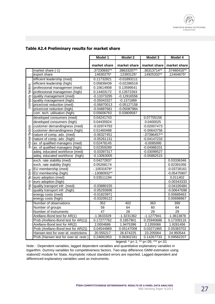|                                                                                                   |                                        | Model 1         | Model 2       | Model 3       | Model 4       |  |  |
|---------------------------------------------------------------------------------------------------|----------------------------------------|-----------------|---------------|---------------|---------------|--|--|
|                                                                                                   |                                        | market share    | market share  | market share  | market share  |  |  |
|                                                                                                   | market share (-1)                      | .37230692**     | .38633207**   | .36313714**   | .37460416**   |  |  |
|                                                                                                   | export share                           | .14630275*      | .12393125*    | .14925332**   | .12404675*    |  |  |
|                                                                                                   | efficient leadership (med)             | 0.11732921      | $-0.01893111$ |               |               |  |  |
|                                                                                                   | efficient leadership (high)            | 0.05839439      | $-0.02286519$ |               |               |  |  |
|                                                                                                   | professional managemen (med)           | 0.10614908      | 0.13599541    |               |               |  |  |
| company factors                                                                                   | professional managemen (high)          | 0.14403172      | 0.13572263    |               |               |  |  |
|                                                                                                   | quality management (med)               | $-0.13373295$   | $-0.12916556$ |               |               |  |  |
|                                                                                                   | quality management (high)              | $-0.05043327$   | $-0.1371889$  |               |               |  |  |
|                                                                                                   | price/cost reduction (med)             | $-0.06870013$   | $-0.05127158$ |               |               |  |  |
|                                                                                                   | price/cost reduction (high)            | $-0.04887681$   | -0.05087984   |               |               |  |  |
|                                                                                                   | com. tech. utilisation (high)          | 0.05606763      | 0.03809587    |               |               |  |  |
|                                                                                                   | developed consumers (med)              | 0.04241743      |               | 0.07705156    |               |  |  |
|                                                                                                   | developed consumers (high)             | 0.04435924      |               | 0.0400025     |               |  |  |
|                                                                                                   | customer demandingness (med)           | $-0.02974793$   |               | $-0.02007473$ |               |  |  |
| sectoral factors                                                                                  | customer demandingness (high)          | 0.01460488      |               | $-0.00643756$ |               |  |  |
|                                                                                                   | nature of comp. adv. (med)             | $-0.06327451$   |               | $-07396457**$ |               |  |  |
|                                                                                                   | nature of comp. adv. (high)            | $-0.05261131$   |               | $-0.04147233$ |               |  |  |
|                                                                                                   | av. of qualified managers (med)        | 0.02478145      |               | $-0.0085995$  |               |  |  |
|                                                                                                   | av. of qualified managers (high)       | 0.02359289      |               | $-0.04986331$ |               |  |  |
|                                                                                                   | adeq. educated workforce (med)         | $-0.03397317$   |               | $-0.03099527$ |               |  |  |
|                                                                                                   | adeq. educated workforce (high)        | $-0.13063005$   |               | $-0.05882515$ |               |  |  |
|                                                                                                   | exch. rate stability (med)             | 0.04272837      |               |               | 0.03336346    |  |  |
|                                                                                                   | exch. rate stability (high)            | 0.05268174      |               |               | 0.02391056    |  |  |
|                                                                                                   | EU membership (med)                    | $-0.10031678*$  |               |               | $-0.03726161$ |  |  |
|                                                                                                   | EU membership (high)                   | $-0.13080932**$ |               |               | $-0.05475907$ |  |  |
|                                                                                                   | euro adoption (med)                    | 0.03511194      |               |               | 0.011402      |  |  |
|                                                                                                   | euro adoption (high)                   |                 |               |               | $-0.00343333$ |  |  |
| macro factors                                                                                     | quality transport infr. (med)          | $-0.03880155$   |               |               | $-0.04100484$ |  |  |
|                                                                                                   | quality transport infr. (high)         | $-0.05293696$   |               |               | $-0.00647698$ |  |  |
|                                                                                                   | energy costs (med)                     | $-0.01823971$   |               |               | 0.00689463    |  |  |
|                                                                                                   | energy costs (high)                    | $-0.03209122$   |               |               | 0.00698967    |  |  |
|                                                                                                   | Number of observations                 | 352             | 402           | 363           | 399           |  |  |
|                                                                                                   | Number of groups                       | 58              | 64            | 60            | 64            |  |  |
|                                                                                                   | Number of instruments                  | 47              | 28            | 29            | 29            |  |  |
|                                                                                                   | Arellano-Bond test for AR(1)           | -1.3633329      | $-1.3231362$  | $-1.1277941$  | $-1.3613878$  |  |  |
|                                                                                                   | Prob (Arellano-Bond test for AR(1))    | 0.17277762      | 0.1857901     | 0.25940688    | 0.17339116    |  |  |
|                                                                                                   | Arellano-Bond test for AR(2)           | 2.0004686       | 1.9475396     | 2.1355066     | 1.9281456     |  |  |
|                                                                                                   | Prob (Arellano-Bond test for AR(2))    | 0.04544969      | 0.05147008    | 0.03271965    | 0.05383702    |  |  |
|                                                                                                   | Hansen test for over-id. restrictions  | 20.555217       | 26.674225     | 23.205564     | 24.950544     |  |  |
|                                                                                                   | Prob (Hansen test for over-id. restr.) | 0.24681953      | 0.06302181    | 0.14267733    | 0.09582207    |  |  |
|                                                                                                   | legend: * p<.1; ** p<.05; *** p<.01    |                 |               |               |               |  |  |
| Note: : Dependent variables, lagged dependent variables and quantitative explanatory variables in |                                        |                 |               |               |               |  |  |
| logarithm. Dummy variables for competitiveness factors. Two-step difference GMM estimation using  |                                        |                 |               |               |               |  |  |
| xtabond2 module for Stata. Asymptotic robust standard errors are reported. Lagged dependent and   |                                        |                 |               |               |               |  |  |
| differenced explanatory variables used as instruments.                                            |                                        |                 |               |               |               |  |  |

#### **Table A2.4 Preliminary results for market share**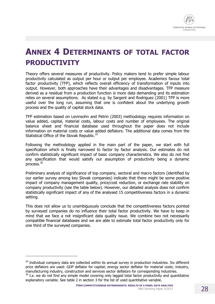

# **ANNEX 4 DETERMINANTS OF TOTAL FACTOR PRODUCTIVITY**

Theory offers several measures of productivity. Policy makers tend to prefer simple labour productivity calculated as output per hour or output per employee. Academics favour total factor productivity (TFP), which reflects overall efficiency of transformation of inputs into output. However, both approaches have their advantages and disadvantages. TFP measure derived as a residual from a production function is more data demanding and its estimation relies on several assumptions. As stated e.g. by Sargent and Rodriguez (2001) TFP is more useful over the long run, assuming that one is confident about the underlying growth process and the quality of capital stock data.

TFP estimation based on Levinsohn and Petrin (2003) methodology requires information on value added, capital, material costs, labour costs and number of employees. The original balance sheet and financial database used throughout the paper does not include information on material costs or value added deflators. The additional data comes from the Statistical Office of the Slovak Republic.<sup>29</sup>

Following the methodology applied in the main part of the paper, we start with full specification which is finally narrowed to factor by factor analysis. Our estimates do not confirm statistically significant impact of basic company characteristics. We also do not find any specification that would satisfy our assumption of productivity being a dynamic process.<sup>30</sup>

Preliminary analysis of significance of top company, sectoral and macro factors (identified by our earlier survey among key Slovak companies) indicate that there might be some positive impact of company management quality, price/cost reduction, or exchange rate stability on company productivity (see the table below). However, our detailed analysis does not confirm statistically significant impact of any of the analysed 15 competitiveness factors in a dynamic setting.

This does not allow us to unambiguously conclude that the competitiveness factors pointed by surveyed companies do no influence their total factor productivity. We have to keep in mind that we face a not insignificant data quality issue. We combine two not necessarily compatible financial databases and we are able to estimate total factor productivity only for one third of the surveyed companies.

j

<sup>&</sup>lt;sup>29</sup> Individual company data are collected within its annual survey in production industries. Six different price deflators are used: GDP deflator for capital; energy sector deflator for material costs; industry, manufacturing industry, construction and services sector deflators for corresponding industries.

 $30$  I.e. we do not find any simple model covering only lagged total factor productivity and quantitative explanatory variable. See table 2 in section 3 for the list of used quantitative variable.